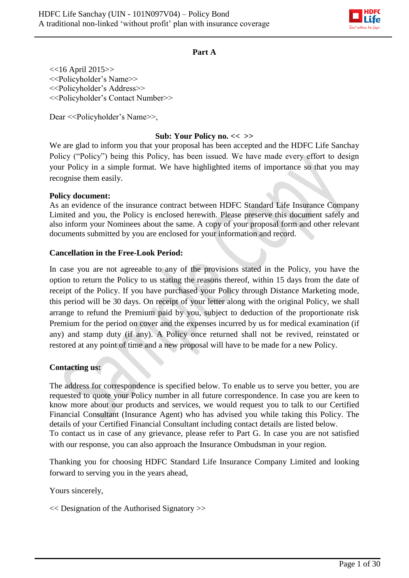

#### **Part A**

<<16 April 2015>> <<Policyholder's Name>> <<Policyholder's Address>> <<Policyholder's Contact Number>>

Dear << Policyholder's Name >>,

### **Sub: Your Policy no. << >>**

We are glad to inform you that your proposal has been accepted and the HDFC Life Sanchay Policy ("Policy") being this Policy, has been issued. We have made every effort to design your Policy in a simple format. We have highlighted items of importance so that you may recognise them easily.

#### **Policy document:**

As an evidence of the insurance contract between HDFC Standard Life Insurance Company Limited and you, the Policy is enclosed herewith. Please preserve this document safely and also inform your Nominees about the same. A copy of your proposal form and other relevant documents submitted by you are enclosed for your information and record.

#### **Cancellation in the Free-Look Period:**

In case you are not agreeable to any of the provisions stated in the Policy, you have the option to return the Policy to us stating the reasons thereof, within 15 days from the date of receipt of the Policy. If you have purchased your Policy through Distance Marketing mode, this period will be 30 days. On receipt of your letter along with the original Policy, we shall arrange to refund the Premium paid by you, subject to deduction of the proportionate risk Premium for the period on cover and the expenses incurred by us for medical examination (if any) and stamp duty (if any). A Policy once returned shall not be revived, reinstated or restored at any point of time and a new proposal will have to be made for a new Policy.

#### **Contacting us:**

The address for correspondence is specified below. To enable us to serve you better, you are requested to quote your Policy number in all future correspondence. In case you are keen to know more about our products and services, we would request you to talk to our Certified Financial Consultant (Insurance Agent) who has advised you while taking this Policy. The details of your Certified Financial Consultant including contact details are listed below. To contact us in case of any grievance, please refer to Part G. In case you are not satisfied with our response, you can also approach the Insurance Ombudsman in your region.

Thanking you for choosing HDFC Standard Life Insurance Company Limited and looking forward to serving you in the years ahead,

Yours sincerely,

<< Designation of the Authorised Signatory >>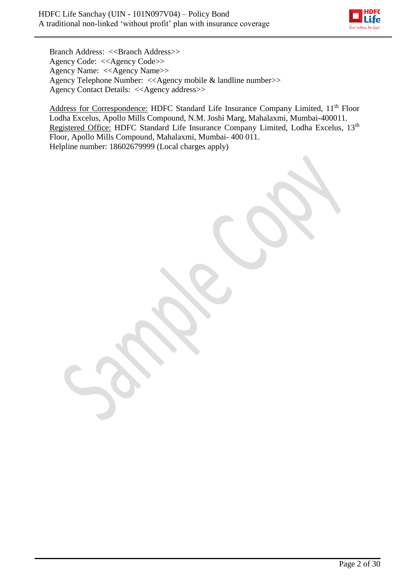

Branch Address: <<Branch Address>> Agency Code: <<Agency Code>> Agency Name: <<Agency Name>> Agency Telephone Number: <<Agency mobile & landline number>> Agency Contact Details: <<Agency address>>

Address for Correspondence: HDFC Standard Life Insurance Company Limited, 11<sup>th</sup> Floor Lodha Excelus, Apollo Mills Compound, N.M. Joshi Marg, Mahalaxmi, Mumbai-400011. Registered Office: HDFC Standard Life Insurance Company Limited, Lodha Excelus, 13<sup>th</sup> Floor, Apollo Mills Compound, Mahalaxmi, Mumbai- 400 011. Helpline number: 18602679999 (Local charges apply)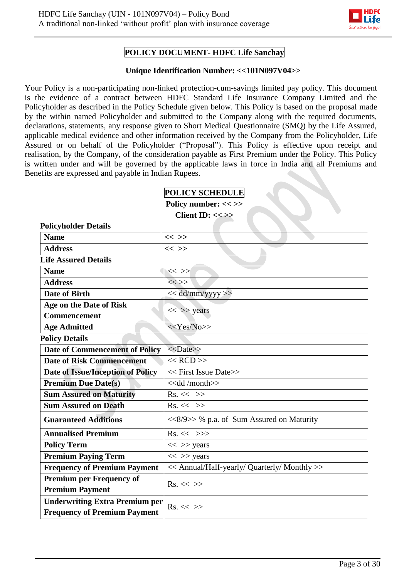

## **POLICY DOCUMENT- HDFC Life Sanchay**

#### **Unique Identification Number: <<101N097V04>>**

Your Policy is a non-participating non-linked protection-cum-savings limited pay policy. This document is the evidence of a contract between HDFC Standard Life Insurance Company Limited and the Policyholder as described in the Policy Schedule given below. This Policy is based on the proposal made by the within named Policyholder and submitted to the Company along with the required documents, declarations, statements, any response given to Short Medical Questionnaire (SMQ) by the Life Assured, applicable medical evidence and other information received by the Company from the Policyholder, Life Assured or on behalf of the Policyholder ("Proposal"). This Policy is effective upon receipt and realisation, by the Company, of the consideration payable as First Premium under the Policy. This Policy is written under and will be governed by the applicable laws in force in India and all Premiums and Benefits are expressed and payable in Indian Rupees.

| <b>POLICY SCHEDULE</b> |
|------------------------|
|------------------------|

**Policy number: << >> Client ID: << >>**

| <b>Policyholder Details</b>           |                                              |
|---------------------------------------|----------------------------------------------|
| <b>Name</b>                           | $<<$ >>                                      |
| <b>Address</b>                        | $<<$ >>                                      |
| <b>Life Assured Details</b>           |                                              |
| <b>Name</b>                           | $<<$ >>                                      |
| <b>Address</b>                        | $<<$ >>                                      |
| <b>Date of Birth</b>                  | << dd/mm/yyyy >>                             |
| Age on the Date of Risk               |                                              |
| <b>Commencement</b>                   | $<<$ >> years                                |
| <b>Age Admitted</b>                   | $<<$ Yes/No>>                                |
| <b>Policy Details</b>                 |                                              |
| <b>Date of Commencement of Policy</b> | $<<$ Date>>                                  |
| <b>Date of Risk Commencement</b>      | $<<$ RCD $>>$                                |
| Date of Issue/Inception of Policy     | << First Issue Date>>                        |
| <b>Premium Due Date(s)</b>            | < <dd month="">&gt;</dd>                     |
| <b>Sum Assured on Maturity</b>        | $Rs. \ll \gg$                                |
| <b>Sum Assured on Death</b>           | $Rs. \ll \gg$                                |
| <b>Guaranteed Additions</b>           | <<8/9>> % p.a. of Sum Assured on Maturity    |
| <b>Annualised Premium</b>             | $Rs. \ll \gg>$                               |
| <b>Policy Term</b>                    | $<<$ >> years                                |
| <b>Premium Paying Term</b>            | $<<$ >> years                                |
| <b>Frequency of Premium Payment</b>   | << Annual/Half-yearly/ Quarterly/ Monthly >> |
| <b>Premium per Frequency of</b>       | $Rs. \ll \gg$                                |
| <b>Premium Payment</b>                |                                              |
| <b>Underwriting Extra Premium per</b> | $Rs. \ll \gg$                                |
| <b>Frequency of Premium Payment</b>   |                                              |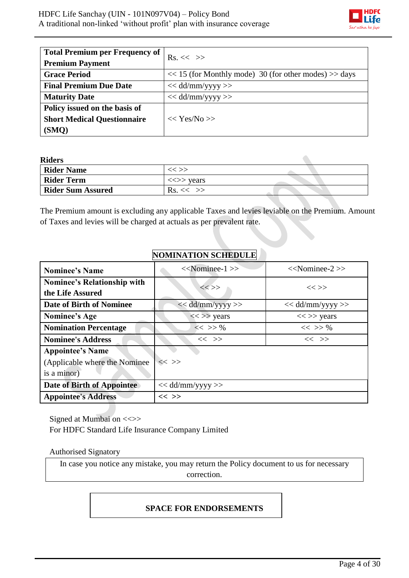

 $\bullet$ 

| <b>Total Premium per Frequency of</b><br><b>Premium Payment</b> | $Rs. \ll \gg$                                             |
|-----------------------------------------------------------------|-----------------------------------------------------------|
| <b>Grace Period</b>                                             | $<< 15$ (for Monthly mode) 30 (for other modes) $>>$ days |
| <b>Final Premium Due Date</b>                                   | $<<$ dd/mm/yyyy >>                                        |
| <b>Maturity Date</b>                                            | $<<$ dd/mm/yyyy >>                                        |
| Policy issued on the basis of                                   |                                                           |
| <b>Short Medical Questionnaire</b>                              | $<<$ Yes/No $>>$                                          |
| (SMQ)                                                           |                                                           |

**Riders** 

| -------                  |                                         |  |
|--------------------------|-----------------------------------------|--|
| <b>Rider Name</b>        | << >>                                   |  |
| <b>Rider Term</b>        | $\langle \langle \rangle \rangle$ years |  |
| <b>Rider Sum Assured</b> | $Rs. \ll \gg$                           |  |

The Premium amount is excluding any applicable Taxes and levies leviable on the Premium. Amount of Taxes and levies will be charged at actuals as per prevalent rate.

# **NOMINATION SCHEDULE**

| <b>Nominee's Name</b>                                                    | $<<$ Nominee-1 $>>$ | $<<$ Nominee-2 $>>$ |
|--------------------------------------------------------------------------|---------------------|---------------------|
| <b>Nominee's Relationship with</b><br>the Life Assured                   | $<<$ >>             | $<<$ $>>$           |
| Date of Birth of Nominee                                                 | $<<$ dd/mm/yyyy>>   | $<<$ dd/mm/yyyy >>  |
| Nominee's Age                                                            | $\ll >>$ years      | $<<$ >> years       |
| <b>Nomination Percentage</b>                                             | $<<$ >> %           | $<<$ >> %           |
| <b>Nominee's Address</b>                                                 | $<<$ >>             | $<<$ >>             |
| <b>Appointee's Name</b><br>(Applicable where the Nominee)<br>is a minor) | $<<$ >>             |                     |
| Date of Birth of Appointee                                               | $<<$ dd/mm/yyyy >>  |                     |
| <b>Appointee's Address</b>                                               | $<<$ $>>$           |                     |

Signed at Mumbai on <<>> For HDFC Standard Life Insurance Company Limited

## Authorised Signatory

In case you notice any mistake, you may return the Policy document to us for necessary correction.

## **SPACE FOR ENDORSEMENTS**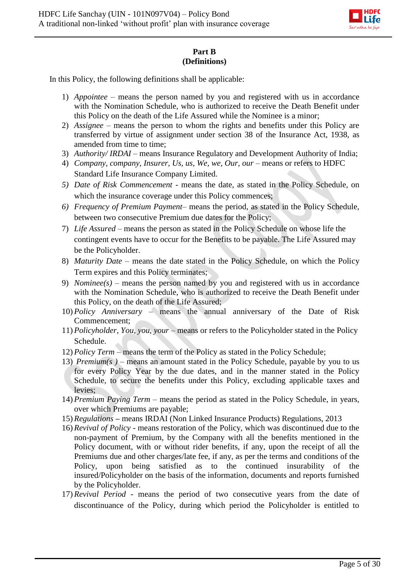

## **Part B (Definitions)**

In this Policy, the following definitions shall be applicable:

- 1) *Appointee –* means the person named by you and registered with us in accordance with the Nomination Schedule, who is authorized to receive the Death Benefit under this Policy on the death of the Life Assured while the Nominee is a minor;
- 2) *Assignee*  means the person to whom the rights and benefits under this Policy are transferred by virtue of assignment under section 38 of the Insurance Act, 1938, as amended from time to time;
- 3) *Authority/ IRDAI* means Insurance Regulatory and Development Authority of India;
- 4) *Company, company, Insurer, Us, us, We, we, Our, our means or refers to HDFC* Standard Life Insurance Company Limited.
- *5) Date of Risk Commencement -* means the date, as stated in the Policy Schedule, on which the insurance coverage under this Policy commences;
- *6) Frequency of Premium Payment* means the period, as stated in the Policy Schedule, between two consecutive Premium due dates for the Policy;
- 7) *Life Assured* means the person as stated in the Policy Schedule on whose life the contingent events have to occur for the Benefits to be payable. The Life Assured may be the Policyholder.
- 8) *Maturity Date* means the date stated in the Policy Schedule, on which the Policy Term expires and this Policy terminates;
- 9) *Nominee(s)*  means the person named by you and registered with us in accordance with the Nomination Schedule, who is authorized to receive the Death Benefit under this Policy, on the death of the Life Assured;
- 10) *Policy Anniversary*  means the annual anniversary of the Date of Risk Commencement;
- 11) *Policyholder, You, you, your* means or refers to the Policyholder stated in the Policy Schedule.
- 12) *Policy Term*  means the term of the Policy as stated in the Policy Schedule;
- 13) *Premium(s)* means an amount stated in the Policy Schedule, payable by you to us for every Policy Year by the due dates, and in the manner stated in the Policy Schedule, to secure the benefits under this Policy, excluding applicable taxes and levies;
- 14) *Premium Paying Term –* means the period as stated in the Policy Schedule, in years, over which Premiums are payable;
- 15) *Regulations* **–** means IRDAI (Non Linked Insurance Products) Regulations, 2013
- 16) *Revival of Policy* means restoration of the Policy, which was discontinued due to the non-payment of Premium, by the Company with all the benefits mentioned in the Policy document, with or without rider benefits, if any, upon the receipt of all the Premiums due and other charges/late fee, if any, as per the terms and conditions of the Policy, upon being satisfied as to the continued insurability of the insured/Policyholder on the basis of the information, documents and reports furnished by the Policyholder.
- 17) *Revival Period*  means the period of two consecutive years from the date of discontinuance of the Policy, during which period the Policyholder is entitled to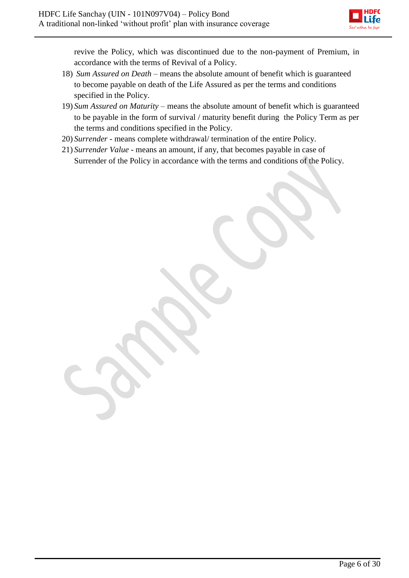

revive the Policy, which was discontinued due to the non-payment of Premium, in accordance with the terms of Revival of a Policy.

- 18) *Sum Assured on Death*  means the absolute amount of benefit which is guaranteed to become payable on death of the Life Assured as per the terms and conditions specified in the Policy.
- 19) *Sum Assured on Maturity* means the absolute amount of benefit which is guaranteed to be payable in the form of survival / maturity benefit during the Policy Term as per the terms and conditions specified in the Policy.
- 20) *Surrender* means complete withdrawal/ termination of the entire Policy.
- 21) *Surrender Value* means an amount, if any, that becomes payable in case of Surrender of the Policy in accordance with the terms and conditions of the Policy.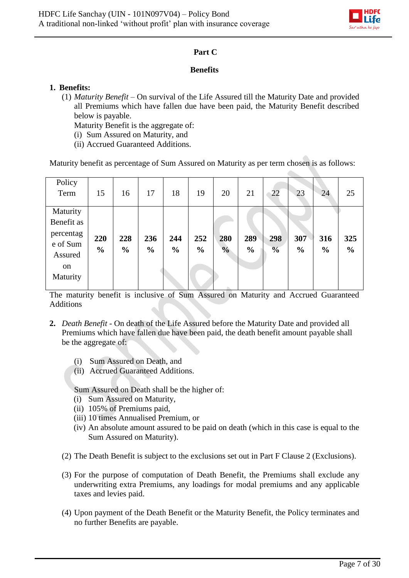

## **Part C**

### **Benefits**

## **1. Benefits:**

(1) *Maturity Benefit* – On survival of the Life Assured till the Maturity Date and provided all Premiums which have fallen due have been paid, the Maturity Benefit described below is payable.

Maturity Benefit is the aggregate of:

- (i) Sum Assured on Maturity, and
- (ii) Accrued Guaranteed Additions.

Maturity benefit as percentage of Sum Assured on Maturity as per term chosen is as follows:

| Policy<br>Term                                                               | 15                   | 16                   | 17                   | 18                   | 19                   | 20                   | 21                   | 22                   | 23                   | 24                   | 25                   |
|------------------------------------------------------------------------------|----------------------|----------------------|----------------------|----------------------|----------------------|----------------------|----------------------|----------------------|----------------------|----------------------|----------------------|
| Maturity<br>Benefit as<br>percentag<br>e of Sum<br>Assured<br>on<br>Maturity | 220<br>$\frac{0}{0}$ | 228<br>$\frac{6}{6}$ | 236<br>$\frac{6}{6}$ | 244<br>$\frac{6}{6}$ | 252<br>$\frac{0}{0}$ | 280<br>$\frac{0}{0}$ | 289<br>$\frac{6}{6}$ | 298<br>$\frac{0}{0}$ | 307<br>$\frac{0}{0}$ | 316<br>$\frac{6}{6}$ | 325<br>$\frac{0}{0}$ |

The maturity benefit is inclusive of Sum Assured on Maturity and Accrued Guaranteed Additions

- **2.** *Death Benefit* On death of the Life Assured before the Maturity Date and provided all Premiums which have fallen due have been paid, the death benefit amount payable shall be the aggregate of:
	- (i) Sum Assured on Death, and
	- (ii) Accrued Guaranteed Additions.

Sum Assured on Death shall be the higher of:

- (i) Sum Assured on Maturity,
- (ii) 105% of Premiums paid,
- (iii) 10 times Annualised Premium, or
- (iv) An absolute amount assured to be paid on death (which in this case is equal to the Sum Assured on Maturity).
- (2) The Death Benefit is subject to the exclusions set out in Part F Clause 2 (Exclusions).
- (3) For the purpose of computation of Death Benefit, the Premiums shall exclude any underwriting extra Premiums, any loadings for modal premiums and any applicable taxes and levies paid.
- (4) Upon payment of the Death Benefit or the Maturity Benefit, the Policy terminates and no further Benefits are payable.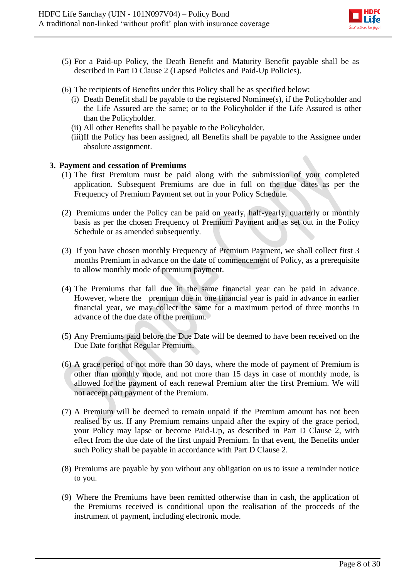

- (5) For a Paid-up Policy, the Death Benefit and Maturity Benefit payable shall be as described in Part D Clause 2 (Lapsed Policies and Paid-Up Policies).
- (6) The recipients of Benefits under this Policy shall be as specified below:
	- (i) Death Benefit shall be payable to the registered Nominee(s), if the Policyholder and the Life Assured are the same; or to the Policyholder if the Life Assured is other than the Policyholder.
	- (ii) All other Benefits shall be payable to the Policyholder.
	- (iii)If the Policy has been assigned, all Benefits shall be payable to the Assignee under absolute assignment.

### **3. Payment and cessation of Premiums**

- (1) The first Premium must be paid along with the submission of your completed application. Subsequent Premiums are due in full on the due dates as per the Frequency of Premium Payment set out in your Policy Schedule.
- (2) Premiums under the Policy can be paid on yearly, half-yearly, quarterly or monthly basis as per the chosen Frequency of Premium Payment and as set out in the Policy Schedule or as amended subsequently.
- (3) If you have chosen monthly Frequency of Premium Payment, we shall collect first 3 months Premium in advance on the date of commencement of Policy, as a prerequisite to allow monthly mode of premium payment.
- (4) The Premiums that fall due in the same financial year can be paid in advance. However, where the premium due in one financial year is paid in advance in earlier financial year, we may collect the same for a maximum period of three months in advance of the due date of the premium.
- (5) Any Premiums paid before the Due Date will be deemed to have been received on the Due Date for that Regular Premium.
- (6) A grace period of not more than 30 days, where the mode of payment of Premium is other than monthly mode, and not more than 15 days in case of monthly mode, is allowed for the payment of each renewal Premium after the first Premium. We will not accept part payment of the Premium.
- (7) A Premium will be deemed to remain unpaid if the Premium amount has not been realised by us. If any Premium remains unpaid after the expiry of the grace period, your Policy may lapse or become Paid-Up, as described in Part D Clause 2, with effect from the due date of the first unpaid Premium. In that event, the Benefits under such Policy shall be payable in accordance with Part D Clause 2.
- (8) Premiums are payable by you without any obligation on us to issue a reminder notice to you.
- (9) Where the Premiums have been remitted otherwise than in cash, the application of the Premiums received is conditional upon the realisation of the proceeds of the instrument of payment, including electronic mode.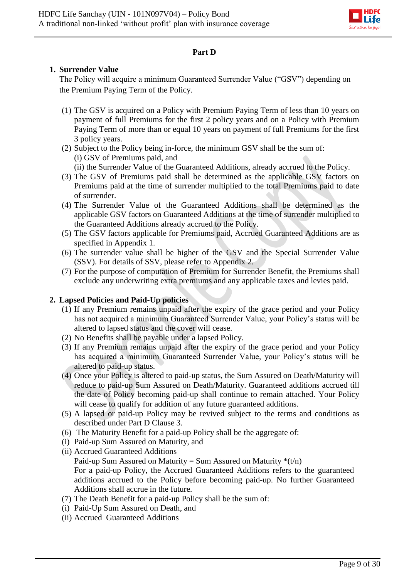

## **Part D**

## **1. Surrender Value**

The Policy will acquire a minimum Guaranteed Surrender Value ("GSV") depending on the Premium Paying Term of the Policy.

- (1) The GSV is acquired on a Policy with Premium Paying Term of less than 10 years on payment of full Premiums for the first 2 policy years and on a Policy with Premium Paying Term of more than or equal 10 years on payment of full Premiums for the first 3 policy years.
- (2) Subject to the Policy being in-force, the minimum GSV shall be the sum of: (i) GSV of Premiums paid, and
	- (ii) the Surrender Value of the Guaranteed Additions, already accrued to the Policy.
- (3) The GSV of Premiums paid shall be determined as the applicable GSV factors on Premiums paid at the time of surrender multiplied to the total Premiums paid to date of surrender.
- (4) The Surrender Value of the Guaranteed Additions shall be determined as the applicable GSV factors on Guaranteed Additions at the time of surrender multiplied to the Guaranteed Additions already accrued to the Policy.
- (5) The GSV factors applicable for Premiums paid, Accrued Guaranteed Additions are as specified in Appendix 1.
- (6) The surrender value shall be higher of the GSV and the Special Surrender Value (SSV). For details of SSV, please refer to Appendix 2.
- (7) For the purpose of computation of Premium for Surrender Benefit, the Premiums shall exclude any underwriting extra premiums and any applicable taxes and levies paid.

## **2. Lapsed Policies and Paid-Up policies**

- (1) If any Premium remains unpaid after the expiry of the grace period and your Policy has not acquired a minimum Guaranteed Surrender Value, your Policy's status will be altered to lapsed status and the cover will cease.
- (2) No Benefits shall be payable under a lapsed Policy.
- (3) If any Premium remains unpaid after the expiry of the grace period and your Policy has acquired a minimum Guaranteed Surrender Value, your Policy's status will be altered to paid-up status.
- (4) Once your Policy is altered to paid-up status, the Sum Assured on Death/Maturity will reduce to paid-up Sum Assured on Death/Maturity. Guaranteed additions accrued till the date of Policy becoming paid-up shall continue to remain attached. Your Policy will cease to qualify for addition of any future guaranteed additions.
- (5) A lapsed or paid-up Policy may be revived subject to the terms and conditions as described under Part D Clause 3.
- (6) The Maturity Benefit for a paid-up Policy shall be the aggregate of:
- (i) Paid-up Sum Assured on Maturity, and
- (ii) Accrued Guaranteed Additions Paid-up Sum Assured on Maturity = Sum Assured on Maturity  $*(t/n)$ For a paid-up Policy, the Accrued Guaranteed Additions refers to the guaranteed additions accrued to the Policy before becoming paid-up. No further Guaranteed Additions shall accrue in the future.
- (7) The Death Benefit for a paid-up Policy shall be the sum of:
- (i) Paid-Up Sum Assured on Death, and
- (ii) Accrued Guaranteed Additions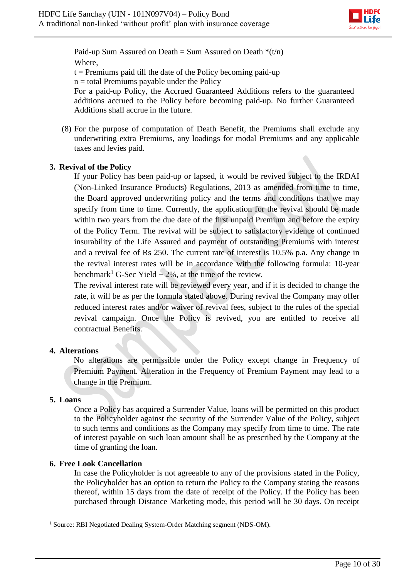

Paid-up Sum Assured on Death = Sum Assured on Death  $*(t/n)$ Where,

 $t =$  Premiums paid till the date of the Policy becoming paid-up

 $n =$  total Premiums payable under the Policy

For a paid-up Policy, the Accrued Guaranteed Additions refers to the guaranteed additions accrued to the Policy before becoming paid-up. No further Guaranteed Additions shall accrue in the future.

(8) For the purpose of computation of Death Benefit, the Premiums shall exclude any underwriting extra Premiums, any loadings for modal Premiums and any applicable taxes and levies paid.

## **3. Revival of the Policy**

If your Policy has been paid-up or lapsed, it would be revived subject to the IRDAI (Non-Linked Insurance Products) Regulations, 2013 as amended from time to time, the Board approved underwriting policy and the terms and conditions that we may specify from time to time. Currently, the application for the revival should be made within two years from the due date of the first unpaid Premium and before the expiry of the Policy Term. The revival will be subject to satisfactory evidence of continued insurability of the Life Assured and payment of outstanding Premiums with interest and a revival fee of Rs 250. The current rate of interest is 10.5% p.a. Any change in the revival interest rates will be in accordance with the following formula: 10-year benchmark<sup>1</sup> G-Sec Yield  $+ 2\%$ , at the time of the review.

The revival interest rate will be reviewed every year, and if it is decided to change the rate, it will be as per the formula stated above. During revival the Company may offer reduced interest rates and/or waiver of revival fees, subject to the rules of the special revival campaign. Once the Policy is revived, you are entitled to receive all contractual Benefits.

## **4. Alterations**

No alterations are permissible under the Policy except change in Frequency of Premium Payment. Alteration in the Frequency of Premium Payment may lead to a change in the Premium.

## **5. Loans**

Once a Policy has acquired a Surrender Value, loans will be permitted on this product to the Policyholder against the security of the Surrender Value of the Policy, subject to such terms and conditions as the Company may specify from time to time. The rate of interest payable on such loan amount shall be as prescribed by the Company at the time of granting the loan.

## **6. Free Look Cancellation**

In case the Policyholder is not agreeable to any of the provisions stated in the Policy, the Policyholder has an option to return the Policy to the Company stating the reasons thereof, within 15 days from the date of receipt of the Policy. If the Policy has been purchased through Distance Marketing mode, this period will be 30 days. On receipt

**<sup>.</sup>** <sup>1</sup> Source: RBI Negotiated Dealing System-Order Matching segment (NDS-OM).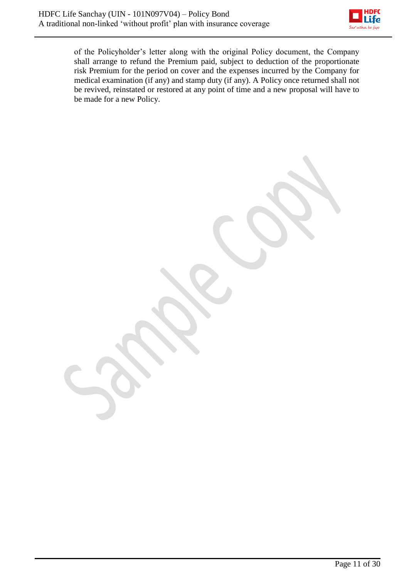

of the Policyholder's letter along with the original Policy document, the Company shall arrange to refund the Premium paid, subject to deduction of the proportionate risk Premium for the period on cover and the expenses incurred by the Company for medical examination (if any) and stamp duty (if any). A Policy once returned shall not be revived, reinstated or restored at any point of time and a new proposal will have to be made for a new Policy.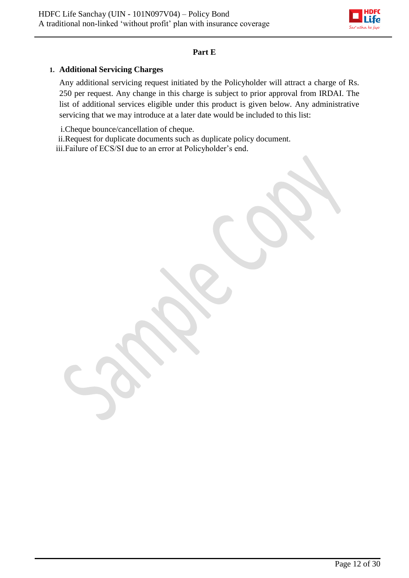

### **Part E**

## **1. Additional Servicing Charges**

Any additional servicing request initiated by the Policyholder will attract a charge of Rs. 250 per request. Any change in this charge is subject to prior approval from IRDAI. The list of additional services eligible under this product is given below. Any administrative servicing that we may introduce at a later date would be included to this list:

i.Cheque bounce/cancellation of cheque.

ii.Request for duplicate documents such as duplicate policy document. iii.Failure of ECS/SI due to an error at Policyholder's end.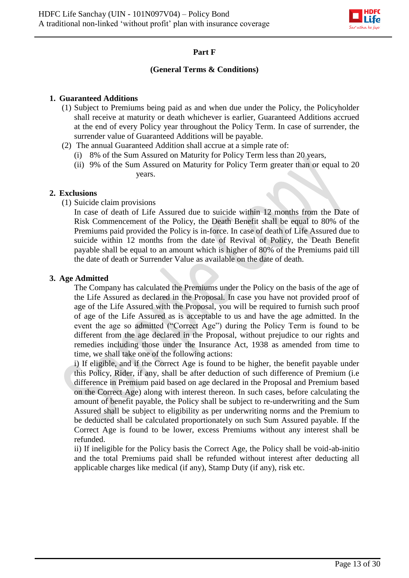

## **Part F**

### **(General Terms & Conditions)**

### **1. Guaranteed Additions**

- (1) Subject to Premiums being paid as and when due under the Policy, the Policyholder shall receive at maturity or death whichever is earlier, Guaranteed Additions accrued at the end of every Policy year throughout the Policy Term. In case of surrender, the surrender value of Guaranteed Additions will be payable.
- (2) The annual Guaranteed Addition shall accrue at a simple rate of:
	- (i) 8% of the Sum Assured on Maturity for Policy Term less than 20 years,
	- (ii) 9% of the Sum Assured on Maturity for Policy Term greater than or equal to 20 years.

## **2. Exclusions**

(1) Suicide claim provisions

In case of death of Life Assured due to suicide within 12 months from the Date of Risk Commencement of the Policy, the Death Benefit shall be equal to 80% of the Premiums paid provided the Policy is in-force. In case of death of Life Assured due to suicide within 12 months from the date of Revival of Policy, the Death Benefit payable shall be equal to an amount which is higher of 80% of the Premiums paid till the date of death or Surrender Value as available on the date of death.

#### **3. Age Admitted**

The Company has calculated the Premiums under the Policy on the basis of the age of the Life Assured as declared in the Proposal. In case you have not provided proof of age of the Life Assured with the Proposal, you will be required to furnish such proof of age of the Life Assured as is acceptable to us and have the age admitted. In the event the age so admitted ("Correct Age") during the Policy Term is found to be different from the age declared in the Proposal, without prejudice to our rights and remedies including those under the Insurance Act, 1938 as amended from time to time, we shall take one of the following actions:

i) If eligible, and if the Correct Age is found to be higher, the benefit payable under this Policy, Rider, if any, shall be after deduction of such difference of Premium (i.e difference in Premium paid based on age declared in the Proposal and Premium based on the Correct Age) along with interest thereon. In such cases, before calculating the amount of benefit payable, the Policy shall be subject to re-underwriting and the Sum Assured shall be subject to eligibility as per underwriting norms and the Premium to be deducted shall be calculated proportionately on such Sum Assured payable. If the Correct Age is found to be lower, excess Premiums without any interest shall be refunded.

ii) If ineligible for the Policy basis the Correct Age, the Policy shall be void-ab-initio and the total Premiums paid shall be refunded without interest after deducting all applicable charges like medical (if any), Stamp Duty (if any), risk etc.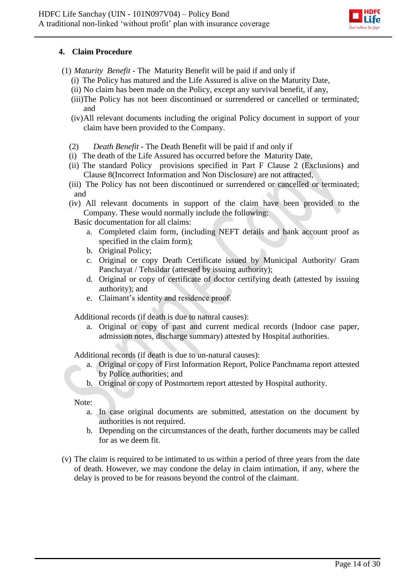

## **4. Claim Procedure**

- (1) *Maturity Benefit* The Maturity Benefit will be paid if and only if
	- (i) The Policy has matured and the Life Assured is alive on the Maturity Date,
	- (ii) No claim has been made on the Policy, except any survival benefit, if any,
	- (iii)The Policy has not been discontinued or surrendered or cancelled or terminated; and
	- (iv)All relevant documents including the original Policy document in support of your claim have been provided to the Company.
	- (2) *Death Benefit -* The Death Benefit will be paid if and only if
	- (i) The death of the Life Assured has occurred before the Maturity Date,
	- (ii) The standard Policy provisions specified in Part F Clause 2 (Exclusions) and Clause 8(Incorrect Information and Non Disclosure) are not attracted,
	- (iii) The Policy has not been discontinued or surrendered or cancelled or terminated; and
	- (iv) All relevant documents in support of the claim have been provided to the Company. These would normally include the following:

Basic documentation for all claims:

- a. Completed claim form, (including NEFT details and bank account proof as specified in the claim form);
- b. Original Policy;
- c. Original or copy Death Certificate issued by Municipal Authority/ Gram Panchayat / Tehsildar (attested by issuing authority);
- d. Original or copy of certificate of doctor certifying death (attested by issuing authority); and
- e. Claimant's identity and residence proof.

Additional records (if death is due to natural causes):

a. Original or copy of past and current medical records (Indoor case paper, admission notes, discharge summary) attested by Hospital authorities.

Additional records (if death is due to un-natural causes):

- a. Original or copy of First Information Report, Police Panchnama report attested by Police authorities; and
- b. Original or copy of Postmortem report attested by Hospital authority.

Note:

- a. In case original documents are submitted, attestation on the document by authorities is not required.
- b. Depending on the circumstances of the death, further documents may be called for as we deem fit.
- (v) The claim is required to be intimated to us within a period of three years from the date of death. However, we may condone the delay in claim intimation, if any, where the delay is proved to be for reasons beyond the control of the claimant.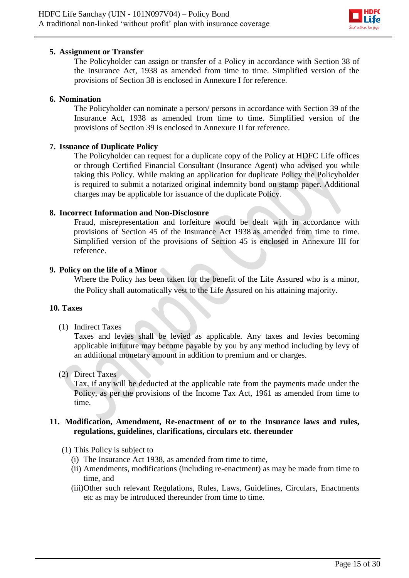

#### **5. Assignment or Transfer**

The Policyholder can assign or transfer of a Policy in accordance with Section 38 of the Insurance Act, 1938 as amended from time to time. Simplified version of the provisions of Section 38 is enclosed in Annexure I for reference.

#### **6. Nomination**

The Policyholder can nominate a person/ persons in accordance with Section 39 of the Insurance Act, 1938 as amended from time to time. Simplified version of the provisions of Section 39 is enclosed in Annexure II for reference.

#### **7. Issuance of Duplicate Policy**

The Policyholder can request for a duplicate copy of the Policy at HDFC Life offices or through Certified Financial Consultant (Insurance Agent) who advised you while taking this Policy. While making an application for duplicate Policy the Policyholder is required to submit a notarized original indemnity bond on stamp paper. Additional charges may be applicable for issuance of the duplicate Policy.

### **8. Incorrect Information and Non-Disclosure**

Fraud, misrepresentation and forfeiture would be dealt with in accordance with provisions of Section 45 of the Insurance Act 1938 as amended from time to time. Simplified version of the provisions of Section 45 is enclosed in Annexure III for reference.

### **9. Policy on the life of a Minor**

Where the Policy has been taken for the benefit of the Life Assured who is a minor, the Policy shall automatically vest to the Life Assured on his attaining majority.

#### **10. Taxes**

(1) Indirect Taxes

Taxes and levies shall be levied as applicable. Any taxes and levies becoming applicable in future may become payable by you by any method including by levy of an additional monetary amount in addition to premium and or charges.

(2) Direct Taxes

Tax, if any will be deducted at the applicable rate from the payments made under the Policy, as per the provisions of the Income Tax Act, 1961 as amended from time to time.

#### **11. Modification, Amendment, Re-enactment of or to the Insurance laws and rules, regulations, guidelines, clarifications, circulars etc. thereunder**

- (1) This Policy is subject to
	- (i) The Insurance Act 1938, as amended from time to time,
	- (ii) Amendments, modifications (including re-enactment) as may be made from time to time, and
	- (iii)Other such relevant Regulations, Rules, Laws, Guidelines, Circulars, Enactments etc as may be introduced thereunder from time to time.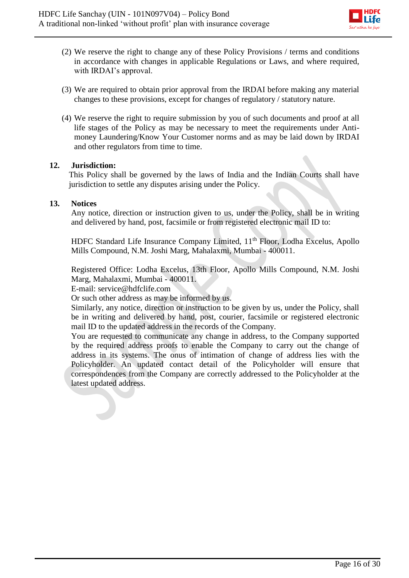

- (2) We reserve the right to change any of these Policy Provisions / terms and conditions in accordance with changes in applicable Regulations or Laws, and where required, with IRDAI's approval.
- (3) We are required to obtain prior approval from the IRDAI before making any material changes to these provisions, except for changes of regulatory / statutory nature.
- (4) We reserve the right to require submission by you of such documents and proof at all life stages of the Policy as may be necessary to meet the requirements under Antimoney Laundering/Know Your Customer norms and as may be laid down by IRDAI and other regulators from time to time.

#### **12. Jurisdiction:**

This Policy shall be governed by the laws of India and the Indian Courts shall have jurisdiction to settle any disputes arising under the Policy.

### **13. Notices**

Any notice, direction or instruction given to us, under the Policy, shall be in writing and delivered by hand, post, facsimile or from registered electronic mail ID to:

HDFC Standard Life Insurance Company Limited, 11<sup>th</sup> Floor, Lodha Excelus, Apollo Mills Compound, N.M. Joshi Marg, Mahalaxmi, Mumbai - 400011.

Registered Office: Lodha Excelus, 13th Floor, Apollo Mills Compound, N.M. Joshi Marg, Mahalaxmi, Mumbai - 400011.

E-mail: service@hdfclife.com

Or such other address as may be informed by us.

Similarly, any notice, direction or instruction to be given by us, under the Policy, shall be in writing and delivered by hand, post, courier, facsimile or registered electronic mail ID to the updated address in the records of the Company.

You are requested to communicate any change in address, to the Company supported by the required address proofs to enable the Company to carry out the change of address in its systems. The onus of intimation of change of address lies with the Policyholder. An updated contact detail of the Policyholder will ensure that correspondences from the Company are correctly addressed to the Policyholder at the latest updated address.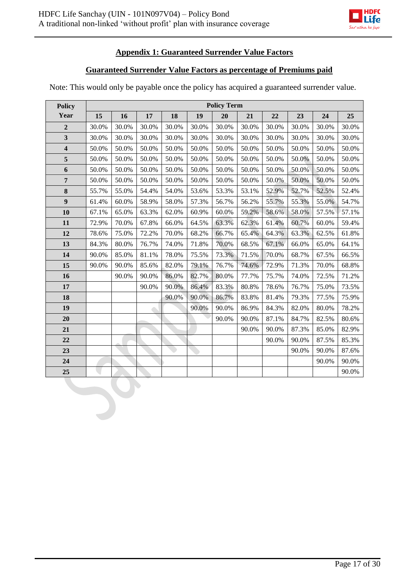

## **Appendix 1: Guaranteed Surrender Value Factors**

#### **Guaranteed Surrender Value Factors as percentage of Premiums paid**

**Policy Year Policy Term 16 17 18 19 20 21 22 23 24 25** 30.0% 30.0% 30.0% 30.0% 30.0% 30.0% 30.0% 30.0% 30.0% 30.0% 30.0% 30.0% 30.0% 30.0% 30.0% 30.0% 30.0% 30.0% 30.0% 30.0% 30.0% 30.0% 50.0% 50.0% 50.0% 50.0% 50.0% 50.0% 50.0% 50.0% 50.0% 50.0% 50.0% 50.0% 50.0% 50.0% 50.0% 50.0% 50.0% 50.0% 50.0% 50.0% 50.0% 50.0% 50.0% 50.0% 50.0% 50.0% 50.0% 50.0% 50.0% 50.0% 50.0% 50.0% 50.0% 50.0% 50.0% 50.0% 50.0% 50.0% 50.0% 50.0% 50.0% 50.0% 50.0% 50.0% 55.7% 55.0% 54.4% 54.0% 53.6% 53.3% 53.1% 52.9% 52.7% 52.5% 52.4% 61.4% 60.0% 58.9% 58.0% 57.3% 56.7% 56.2% 55.7% 55.3% 55.0% 54.7% 67.1% 65.0% 63.3% 62.0% 60.9% 60.0% 59.2% 58.6% 58.0% 57.5% 57.1% 72.9% 70.0% 67.8% 66.0% 64.5% 63.3% 62.3% 61.4% 60.7% 60.0% 59.4% 78.6% 75.0% 72.2% 70.0% 68.2% 66.7% 65.4% 64.3% 63.3% 62.5% 61.8% 84.3% 80.0% 76.7% 74.0% 71.8% 70.0% 68.5% 67.1% 66.0% 65.0% 64.1%  $\vert$  90.0%  $\vert$  85.0%  $\vert$  81.1%  $\vert$  78.0%  $\vert$  75.5%  $\vert$  73.3%  $\vert$  71.5%  $\vert$  70.0%  $\vert$  68.7%  $\vert$  67.5%  $\vert$  66.5% 90.0% 90.0% 85.6% 82.0% 79.1% 76.7% 74.6% 72.9% 71.3% 70.0% 68.8% 90.0% 90.0% 86.0% 82.7% 80.0% 77.7% 75.7% 74.0% 72.5% 71.2% **17** 90.0%  $\begin{bmatrix} 90.0\% & 90.0\% & 86.4\% & 83.3\% & 80.8\% & 76.6\% & 76.7\% & 75.0\% & 73.5\% \end{bmatrix}$  90.0% 90.0% 86.7% 83.8% 81.4% 79.3% 77.5% 75.9% **19 19 19 19 19 190.0% 86.9% 86.9% 84.3% 82.0% 80.0% 78.2%**  90.0% 87.1% 84.7% 82.5% 80.6% 90.0% 87.3% 85.0% 82.9% 90.0% 87.5% 85.3% 90.0% 87.6% 90.0% 90.0% 90.0% 90.0% 90.0% 90.0% 90.0% 90.0% 90.0% 90.0% 90.0% 90.0% 90.0% 90.0% 90.0% 90.0% 90.0% 90.0 90.0%

Note: This would only be payable once the policy has acquired a guaranteed surrender value.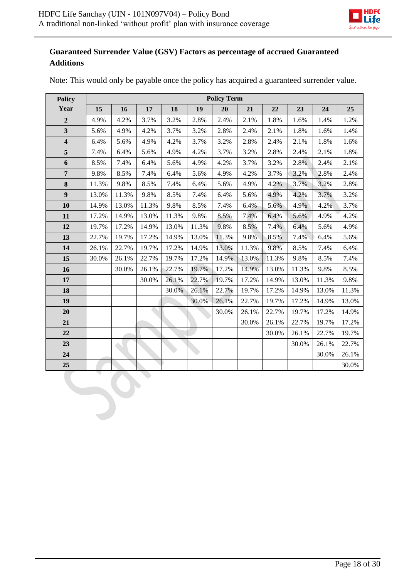$\sim$ 



## **Guaranteed Surrender Value (GSV) Factors as percentage of accrued Guaranteed Additions**

| <b>Policy</b>           |       | <b>Policy Term</b> |       |        |                               |       |       |       |       |       |       |
|-------------------------|-------|--------------------|-------|--------|-------------------------------|-------|-------|-------|-------|-------|-------|
| Year                    | 15    | 16                 | 17    | 18     | 19                            | 20    | 21    | 22    | 23    | 24    | 25    |
| $\overline{2}$          | 4.9%  | 4.2%               | 3.7%  | 3.2%   | 2.8%                          | 2.4%  | 2.1%  | 1.8%  | 1.6%  | 1.4%  | 1.2%  |
| $\overline{\mathbf{3}}$ | 5.6%  | 4.9%               | 4.2%  | 3.7%   | 3.2%                          | 2.8%  | 2.4%  | 2.1%  | 1.8%  | 1.6%  | 1.4%  |
| $\overline{\mathbf{4}}$ | 6.4%  | 5.6%               | 4.9%  | 4.2%   | 3.7%                          | 3.2%  | 2.8%  | 2.4%  | 2.1%  | 1.8%  | 1.6%  |
| 5                       | 7.4%  | 6.4%               | 5.6%  | 4.9%   | 4.2%                          | 3.7%  | 3.2%  | 2.8%  | 2.4%  | 2.1%  | 1.8%  |
| 6                       | 8.5%  | 7.4%               | 6.4%  | 5.6%   | 4.9%                          | 4.2%  | 3.7%  | 3.2%  | 2.8%  | 2.4%  | 2.1%  |
| $\overline{7}$          | 9.8%  | 8.5%               | 7.4%  | 6.4%   | 5.6%                          | 4.9%  | 4.2%  | 3.7%  | 3.2%  | 2.8%  | 2.4%  |
| 8                       | 11.3% | 9.8%               | 8.5%  | 7.4%   | 6.4%                          | 5.6%  | 4.9%  | 4.2%  | 3.7%  | 3.2%  | 2.8%  |
| $\boldsymbol{9}$        | 13.0% | 11.3%              | 9.8%  | 8.5%   | 7.4%                          | 6.4%  | 5.6%  | 4.9%  | 4.2%  | 3.7%  | 3.2%  |
| 10                      | 14.9% | 13.0%              | 11.3% | 9.8%   | 8.5%                          | 7.4%  | 6.4%  | 5.6%  | 4.9%  | 4.2%  | 3.7%  |
| 11                      | 17.2% | 14.9%              | 13.0% | 11.3%  | 9.8%                          | 8.5%  | 7.4%  | 6.4%  | 5.6%  | 4.9%  | 4.2%  |
| 12                      | 19.7% | 17.2%              | 14.9% | 13.0%  | 11.3%                         | 9.8%  | 8.5%  | 7.4%  | 6.4%  | 5.6%  | 4.9%  |
| 13                      | 22.7% | 19.7%              | 17.2% | 14.9%  | 13.0%                         | 11.3% | 9.8%  | 8.5%  | 7.4%  | 6.4%  | 5.6%  |
| 14                      | 26.1% | 22.7%              | 19.7% | 17.2%  | 14.9%                         | 13.0% | 11.3% | 9.8%  | 8.5%  | 7.4%  | 6.4%  |
| 15                      | 30.0% | 26.1%              | 22.7% | 19.7%  | 17.2%                         | 14.9% | 13.0% | 11.3% | 9.8%  | 8.5%  | 7.4%  |
| 16                      |       | 30.0%              | 26.1% | 22.7%  | 19.7%                         | 17.2% | 14.9% | 13.0% | 11.3% | 9.8%  | 8.5%  |
| 17                      |       |                    | 30.0% | 26.1%  | 22.7%                         | 19.7% | 17.2% | 14.9% | 13.0% | 11.3% | 9.8%  |
| 18                      |       |                    |       | 30.0%  | 26.1%                         | 22.7% | 19.7% | 17.2% | 14.9% | 13.0% | 11.3% |
| 19                      |       |                    |       |        | 30.0%                         | 26.1% | 22.7% | 19.7% | 17.2% | 14.9% | 13.0% |
| 20                      |       |                    |       |        |                               | 30.0% | 26.1% | 22.7% | 19.7% | 17.2% | 14.9% |
| 21                      |       |                    |       |        |                               |       | 30.0% | 26.1% | 22.7% | 19.7% | 17.2% |
| 22                      |       |                    |       |        |                               |       |       | 30.0% | 26.1% | 22.7% | 19.7% |
| 23                      |       |                    |       |        |                               |       |       |       | 30.0% | 26.1% | 22.7% |
| 24                      |       |                    |       | $\sim$ | $\langle \, \cdot \, \rangle$ |       |       |       |       | 30.0% | 26.1% |
| 25                      |       |                    |       |        |                               |       |       |       |       |       | 30.0% |

Note: This would only be payable once the policy has acquired a guaranteed surrender value.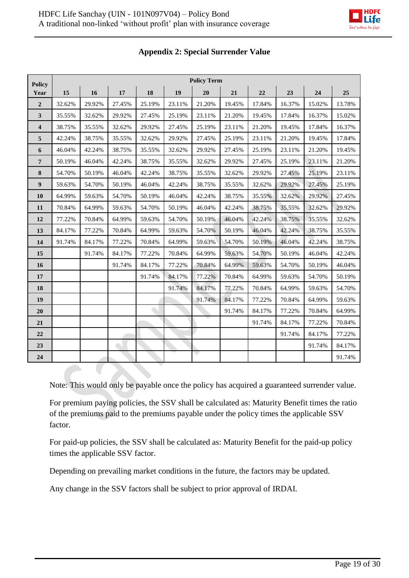| <b>Policy</b>           | <b>Policy Term</b> |        |        |        |        |        |        |        |        |        |        |
|-------------------------|--------------------|--------|--------|--------|--------|--------|--------|--------|--------|--------|--------|
| Year                    | 15                 | 16     | 17     | 18     | 19     | 20     | 21     | 22     | 23     | 24     | 25     |
| $\overline{2}$          | 32.62%             | 29.92% | 27.45% | 25.19% | 23.11% | 21.20% | 19.45% | 17.84% | 16.37% | 15.02% | 13.78% |
| $\mathbf{3}$            | 35.55%             | 32.62% | 29.92% | 27.45% | 25.19% | 23.11% | 21.20% | 19.45% | 17.84% | 16.37% | 15.02% |
| $\overline{\mathbf{4}}$ | 38.75%             | 35.55% | 32.62% | 29.92% | 27.45% | 25.19% | 23.11% | 21.20% | 19.45% | 17.84% | 16.37% |
| 5                       | 42.24%             | 38.75% | 35.55% | 32.62% | 29.92% | 27.45% | 25.19% | 23.11% | 21.20% | 19.45% | 17.84% |
| $\boldsymbol{6}$        | 46.04%             | 42.24% | 38.75% | 35.55% | 32.62% | 29.92% | 27.45% | 25.19% | 23.11% | 21.20% | 19.45% |
| $7\phantom{.0}$         | 50.19%             | 46.04% | 42.24% | 38.75% | 35.55% | 32.62% | 29.92% | 27.45% | 25.19% | 23.11% | 21.20% |
| 8                       | 54.70%             | 50.19% | 46.04% | 42.24% | 38.75% | 35.55% | 32.62% | 29.92% | 27.45% | 25.19% | 23.11% |
| $\boldsymbol{9}$        | 59.63%             | 54.70% | 50.19% | 46.04% | 42.24% | 38.75% | 35.55% | 32.62% | 29.92% | 27.45% | 25.19% |
| 10                      | 64.99%             | 59.63% | 54.70% | 50.19% | 46.04% | 42.24% | 38.75% | 35.55% | 32.62% | 29.92% | 27.45% |
| 11                      | 70.84%             | 64.99% | 59.63% | 54.70% | 50.19% | 46.04% | 42.24% | 38.75% | 35.55% | 32.62% | 29.92% |
| 12                      | 77.22%             | 70.84% | 64.99% | 59.63% | 54.70% | 50.19% | 46.04% | 42.24% | 38.75% | 35.55% | 32.62% |
| 13                      | 84.17%             | 77.22% | 70.84% | 64.99% | 59.63% | 54.70% | 50.19% | 46.04% | 42.24% | 38.75% | 35.55% |
| 14                      | 91.74%             | 84.17% | 77.22% | 70.84% | 64.99% | 59.63% | 54.70% | 50.19% | 46.04% | 42.24% | 38.75% |
| 15                      |                    | 91.74% | 84.17% | 77.22% | 70.84% | 64.99% | 59.63% | 54.70% | 50.19% | 46.04% | 42.24% |
| 16                      |                    |        | 91.74% | 84.17% | 77.22% | 70.84% | 64.99% | 59.63% | 54.70% | 50.19% | 46.04% |
| 17                      |                    |        |        | 91.74% | 84.17% | 77.22% | 70.84% | 64.99% | 59.63% | 54.70% | 50.19% |
| 18                      |                    |        |        |        | 91.74% | 84.17% | 77.22% | 70.84% | 64.99% | 59.63% | 54.70% |
| 19                      |                    |        |        |        |        | 91.74% | 84.17% | 77.22% | 70.84% | 64.99% | 59.63% |
| 20                      |                    |        |        |        |        |        | 91.74% | 84.17% | 77.22% | 70.84% | 64.99% |
| 21                      |                    |        |        |        |        |        |        | 91.74% | 84.17% | 77.22% | 70.84% |
| 22                      |                    |        |        |        |        |        |        |        | 91.74% | 84.17% | 77.22% |
| 23                      |                    |        |        |        |        |        |        |        |        | 91.74% | 84.17% |
| ${\bf 24}$              |                    |        |        |        |        |        |        |        |        |        | 91.74% |

## **Appendix 2: Special Surrender Value**

Note: This would only be payable once the policy has acquired a guaranteed surrender value.

For premium paying policies, the SSV shall be calculated as: Maturity Benefit times the ratio of the premiums paid to the premiums payable under the policy times the applicable SSV factor.

For paid-up policies, the SSV shall be calculated as: Maturity Benefit for the paid-up policy times the applicable SSV factor.

Depending on prevailing market conditions in the future, the factors may be updated.

Any change in the SSV factors shall be subject to prior approval of IRDAI.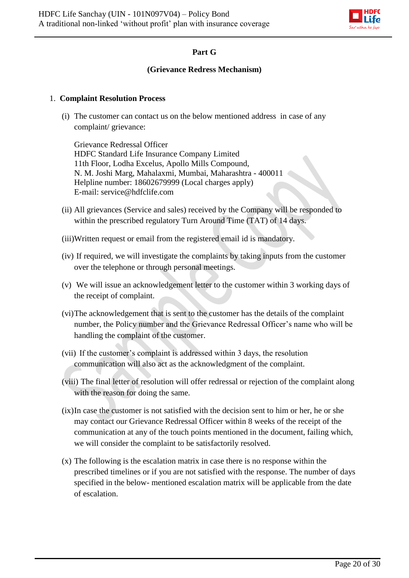

## **Part G**

### **(Grievance Redress Mechanism)**

### 1. **Complaint Resolution Process**

(i) The customer can contact us on the below mentioned address in case of any complaint/ grievance:

Grievance Redressal Officer HDFC Standard Life Insurance Company Limited 11th Floor, Lodha Excelus, Apollo Mills Compound, N. M. Joshi Marg, Mahalaxmi, Mumbai, Maharashtra - 400011 Helpline number: 18602679999 (Local charges apply) E-mail: service@hdfclife.com

- (ii) All grievances (Service and sales) received by the Company will be responded to within the prescribed regulatory Turn Around Time (TAT) of 14 days.
- (iii)Written request or email from the registered email id is mandatory.
- (iv) If required, we will investigate the complaints by taking inputs from the customer over the telephone or through personal meetings.
- (v) We will issue an acknowledgement letter to the customer within 3 working days of the receipt of complaint.
- (vi)The acknowledgement that is sent to the customer has the details of the complaint number, the Policy number and the Grievance Redressal Officer's name who will be handling the complaint of the customer.
- (vii) If the customer's complaint is addressed within 3 days, the resolution communication will also act as the acknowledgment of the complaint.
- (viii) The final letter of resolution will offer redressal or rejection of the complaint along with the reason for doing the same.
- (ix)In case the customer is not satisfied with the decision sent to him or her, he or she may contact our Grievance Redressal Officer within 8 weeks of the receipt of the communication at any of the touch points mentioned in the document, failing which, we will consider the complaint to be satisfactorily resolved.
- (x) The following is the escalation matrix in case there is no response within the prescribed timelines or if you are not satisfied with the response. The number of days specified in the below- mentioned escalation matrix will be applicable from the date of escalation.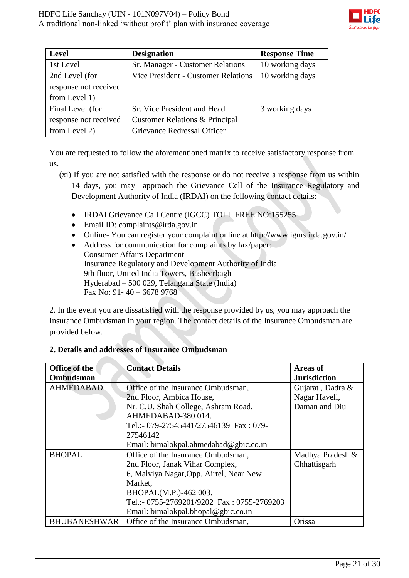

| <b>Level</b>          | <b>Designation</b>                         | <b>Response Time</b> |
|-----------------------|--------------------------------------------|----------------------|
| 1st Level             | Sr. Manager - Customer Relations           | 10 working days      |
| 2nd Level (for        | <b>Vice President - Customer Relations</b> | 10 working days      |
| response not received |                                            |                      |
| from Level 1)         |                                            |                      |
| Final Level (for      | Sr. Vice President and Head                | 3 working days       |
| response not received | Customer Relations & Principal             |                      |
| from Level 2)         | Grievance Redressal Officer                |                      |

You are requested to follow the aforementioned matrix to receive satisfactory response from us.

- (xi) If you are not satisfied with the response or do not receive a response from us within 14 days, you may approach the Grievance Cell of the Insurance Regulatory and Development Authority of India (IRDAI) on the following contact details:
	- IRDAI Grievance Call Centre (IGCC) TOLL FREE NO:155255
	- $\bullet$  Email ID: complaints@irda.gov.in
	- Online- You can register your complaint online at http://www.igms.irda.gov.in/
	- Address for communication for complaints by fax/paper: Consumer Affairs Department Insurance Regulatory and Development Authority of India 9th floor, United India Towers, Basheerbagh Hyderabad – 500 029, Telangana State (India) Fax No: 91- 40 – 6678 9768

2. In the event you are dissatisfied with the response provided by us, you may approach the Insurance Ombudsman in your region. The contact details of the Insurance Ombudsman are provided below.

| Office of the       | <b>Contact Details</b>                     | <b>Areas of</b>     |
|---------------------|--------------------------------------------|---------------------|
| Ombudsman           |                                            | <b>Jurisdiction</b> |
| <b>AHMEDABAD</b>    | Office of the Insurance Ombudsman,         | Gujarat, Dadra &    |
|                     | 2nd Floor, Ambica House,                   | Nagar Haveli,       |
|                     | Nr. C.U. Shah College, Ashram Road,        | Daman and Diu       |
|                     | AHMEDABAD-380014.                          |                     |
|                     | Tel.:- 079-27545441/27546139 Fax: 079-     |                     |
|                     | 27546142                                   |                     |
|                     | Email: bimalokpal.ahmedabad@gbic.co.in     |                     |
| <b>BHOPAL</b>       | Office of the Insurance Ombudsman,         | Madhya Pradesh &    |
|                     | 2nd Floor, Janak Vihar Complex,            | Chhattisgarh        |
|                     | 6, Malviya Nagar, Opp. Airtel, Near New    |                     |
|                     | Market,                                    |                     |
|                     | BHOPAL(M.P.)-462 003.                      |                     |
|                     | Tel.:- 0755-2769201/9202 Fax: 0755-2769203 |                     |
|                     | Email: bimalokpal.bhopal@gbic.co.in        |                     |
| <b>BHUBANESHWAR</b> | Office of the Insurance Ombudsman,         | Orissa              |

## **2. Details and addresses of Insurance Ombudsman**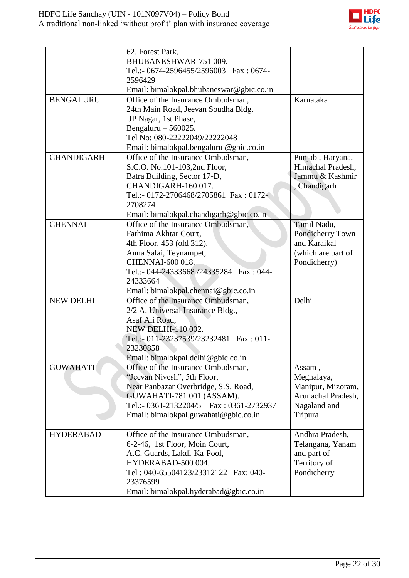

| <b>BENGALURU</b>  | 62, Forest Park,<br>BHUBANESHWAR-751 009.<br>Tel.:- 0674-2596455/2596003 Fax: 0674-<br>2596429<br>Email: bimalokpal.bhubaneswar@gbic.co.in<br>Office of the Insurance Ombudsman,<br>24th Main Road, Jeevan Soudha Bldg.                       | Karnataka                                                                                  |
|-------------------|-----------------------------------------------------------------------------------------------------------------------------------------------------------------------------------------------------------------------------------------------|--------------------------------------------------------------------------------------------|
|                   | JP Nagar, 1st Phase,<br>Bengaluru $-560025$ .<br>Tel No: 080-22222049/22222048<br>Email: bimalokpal.bengaluru @gbic.co.in                                                                                                                     |                                                                                            |
| <b>CHANDIGARH</b> | Office of the Insurance Ombudsman,<br>S.C.O. No.101-103,2nd Floor,<br>Batra Building, Sector 17-D,<br>CHANDIGARH-160 017.<br>Tel.:- 0172-2706468/2705861 Fax: 0172-<br>2708274<br>Email: bimalokpal.chandigarh@gbic.co.in                     | Punjab, Haryana,<br>Himachal Pradesh,<br>Jammu & Kashmir<br>, Chandigarh                   |
| <b>CHENNAI</b>    | Office of the Insurance Ombudsman,<br>Fathima Akhtar Court,<br>4th Floor, 453 (old 312),<br>Anna Salai, Teynampet,<br><b>CHENNAI-600 018.</b><br>Tel.:- 044-24333668 /24335284  Fax: 044-<br>24333664<br>Email: bimalokpal.chennai@gbic.co.in | Tamil Nadu,<br>Pondicherry Town<br>and Karaikal<br>(which are part of<br>Pondicherry)      |
| <b>NEW DELHI</b>  | Office of the Insurance Ombudsman,<br>2/2 A, Universal Insurance Bldg.,<br>Asaf Ali Road,<br><b>NEW DELHI-110 002.</b><br>Tel.:- 011-23237539/23232481   Fax: 011-<br>23230858<br>Email: bimalokpal.delhi@gbic.co.in                          | Delhi                                                                                      |
| <b>GUWAHATI</b>   | Office of the Insurance Ombudsman,<br>"Jeevan Nivesh", 5th Floor,<br>Near Panbazar Overbridge, S.S. Road,<br>GUWAHATI-781 001 (ASSAM).<br>Tel.:- 0361-2132204/5  Fax: 0361-2732937<br>Email: bimalokpal.guwahati@gbic.co.in                   | Assam,<br>Meghalaya,<br>Manipur, Mizoram,<br>Arunachal Pradesh,<br>Nagaland and<br>Tripura |
| <b>HYDERABAD</b>  | Office of the Insurance Ombudsman,<br>6-2-46, 1st Floor, Moin Court,<br>A.C. Guards, Lakdi-Ka-Pool,<br>HYDERABAD-500 004.<br>Tel: 040-65504123/23312122 Fax: 040-<br>23376599<br>Email: bimalokpal.hyderabad@gbic.co.in                       | Andhra Pradesh,<br>Telangana, Yanam<br>and part of<br>Territory of<br>Pondicherry          |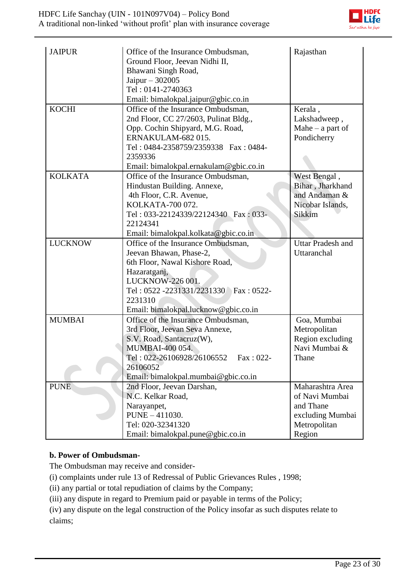

| <b>JAIPUR</b>  | Office of the Insurance Ombudsman,<br>Ground Floor, Jeevan Nidhi II,<br>Bhawani Singh Road,<br>Jaipur $-302005$<br>Tel: 0141-2740363<br>Email: bimalokpal.jaipur@gbic.co.in                                                       | Rajasthan                                                                                     |
|----------------|-----------------------------------------------------------------------------------------------------------------------------------------------------------------------------------------------------------------------------------|-----------------------------------------------------------------------------------------------|
| <b>KOCHI</b>   | Office of the Insurance Ombudsman,<br>2nd Floor, CC 27/2603, Pulinat Bldg.,<br>Opp. Cochin Shipyard, M.G. Road,<br>ERNAKULAM-682015.<br>Tel: 0484-2358759/2359338 Fax: 0484-<br>2359336<br>Email: bimalokpal.ernakulam@gbic.co.in | Kerala,<br>Lakshadweep,<br>Mahe $-$ a part of<br>Pondicherry                                  |
| <b>KOLKATA</b> | Office of the Insurance Ombudsman,<br>Hindustan Building. Annexe,<br>4th Floor, C.R. Avenue,<br>KOLKATA-700 072.<br>Tel: 033-22124339/22124340 Fax: 033-<br>22124341<br>Email: bimalokpal.kolkata@gbic.co.in                      | West Bengal,<br>Bihar, Jharkhand<br>and Andaman &<br>Nicobar Islands,<br>Sikkim               |
| <b>LUCKNOW</b> | Office of the Insurance Ombudsman,<br>Jeevan Bhawan, Phase-2,<br>6th Floor, Nawal Kishore Road,<br>Hazaratganj,<br>LUCKNOW-226 001.<br>Tel: 0522 -2231331/2231330 Fax: 0522-<br>2231310<br>Email: bimalokpal.lucknow@gbic.co.in   | <b>Uttar Pradesh and</b><br>Uttaranchal                                                       |
| <b>MUMBAI</b>  | Office of the Insurance Ombudsman,<br>3rd Floor, Jeevan Seva Annexe,<br>S.V. Road, Santacruz(W),<br>MUMBAI-400 054.<br>Fax: 022-<br>Tel: 022-26106928/26106552<br>26106052<br>Email: bimalokpal.mumbai@gbic.co.in                 | Goa, Mumbai<br>Metropolitan<br>Region excluding<br>Navi Mumbai &<br>Thane                     |
| <b>PUNE</b>    | 2nd Floor, Jeevan Darshan,<br>N.C. Kelkar Road,<br>Narayanpet,<br>PUNE - 411030.<br>Tel: 020-32341320<br>Email: bimalokpal.pune@gbic.co.in                                                                                        | Maharashtra Area<br>of Navi Mumbai<br>and Thane<br>excluding Mumbai<br>Metropolitan<br>Region |

## **b. Power of Ombudsman-**

The Ombudsman may receive and consider-

[\(i\)](http://indiankanoon.org/doc/160521836/) complaints under rule 13 of Redressal of Public Grievances Rules , 1998;

[\(ii\)](http://indiankanoon.org/doc/156757242/) any partial or total repudiation of claims by the Company;

[\(iii\)](http://indiankanoon.org/doc/163591613/) any dispute in regard to Premium paid or payable in terms of the Policy;

[\(iv\)](http://indiankanoon.org/doc/31367799/) any dispute on the legal construction of the Policy insofar as such disputes relate to claims;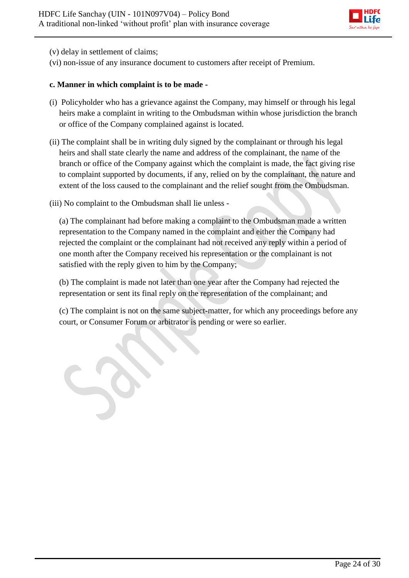

[\(v\)](http://indiankanoon.org/doc/26463888/) delay in settlement of claims;

[\(vi\)](http://indiankanoon.org/doc/47238858/) non-issue of any insurance document to customers after receipt of Premium.

#### **c. Manner in which complaint is to be made -**

- [\(i\)](http://indiankanoon.org/doc/160481793/) Policyholder who has a grievance against the Company, may himself or through his legal heirs make a complaint in writing to the Ombudsman within whose jurisdiction the branch or office of the Company complained against is located.
- [\(ii\)](http://indiankanoon.org/doc/116915928/) The complaint shall be in writing duly signed by the complainant or through his legal heirs and shall state clearly the name and address of the complainant, the name of the branch or office of the Company against which the complaint is made, the fact giving rise to complaint supported by documents, if any, relied on by the complainant, the nature and extent of the loss caused to the complainant and the relief sought from the Ombudsman.
- [\(iii\)](http://indiankanoon.org/doc/99464357/) No complaint to the Ombudsman shall lie unless -

[\(a\)](http://indiankanoon.org/doc/87794950/) The complainant had before making a complaint to the Ombudsman made a written representation to the Company named in the complaint and either the Company had rejected the complaint or the complainant had not received any reply within a period of one month after the Company received his representation or the complainant is not satisfied with the reply given to him by the Company;

[\(b\)](http://indiankanoon.org/doc/84880221/) The complaint is made not later than one year after the Company had rejected the representation or sent its final reply on the representation of the complainant; and

[\(c\)](http://indiankanoon.org/doc/116794480/) The complaint is not on the same subject-matter, for which any proceedings before any court, or Consumer Forum or arbitrator is pending or were so earlier.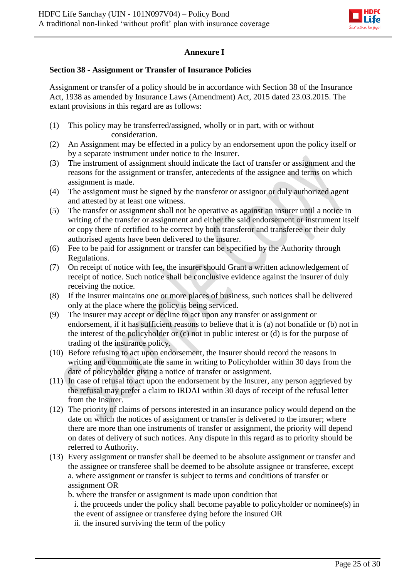

## **Annexure I**

## **Section 38 - Assignment or Transfer of Insurance Policies**

Assignment or transfer of a policy should be in accordance with Section 38 of the Insurance Act, 1938 as amended by Insurance Laws (Amendment) Act, 2015 dated 23.03.2015. The extant provisions in this regard are as follows:

- (1) This policy may be transferred/assigned, wholly or in part, with or without consideration.
- (2) An Assignment may be effected in a policy by an endorsement upon the policy itself or by a separate instrument under notice to the Insurer.
- (3) The instrument of assignment should indicate the fact of transfer or assignment and the reasons for the assignment or transfer, antecedents of the assignee and terms on which assignment is made.
- (4) The assignment must be signed by the transferor or assignor or duly authorized agent and attested by at least one witness.
- (5) The transfer or assignment shall not be operative as against an insurer until a notice in writing of the transfer or assignment and either the said endorsement or instrument itself or copy there of certified to be correct by both transferor and transferee or their duly authorised agents have been delivered to the insurer.
- (6) Fee to be paid for assignment or transfer can be specified by the Authority through Regulations.
- (7) On receipt of notice with fee, the insurer should Grant a written acknowledgement of receipt of notice. Such notice shall be conclusive evidence against the insurer of duly receiving the notice.
- (8) If the insurer maintains one or more places of business, such notices shall be delivered only at the place where the policy is being serviced.
- (9) The insurer may accept or decline to act upon any transfer or assignment or endorsement, if it has sufficient reasons to believe that it is (a) not bonafide or (b) not in the interest of the policyholder or (c) not in public interest or (d) is for the purpose of trading of the insurance policy.
- (10) Before refusing to act upon endorsement, the Insurer should record the reasons in writing and communicate the same in writing to Policyholder within 30 days from the date of policyholder giving a notice of transfer or assignment.
- (11) In case of refusal to act upon the endorsement by the Insurer, any person aggrieved by the refusal may prefer a claim to IRDAI within 30 days of receipt of the refusal letter from the Insurer.
- (12) The priority of claims of persons interested in an insurance policy would depend on the date on which the notices of assignment or transfer is delivered to the insurer; where there are more than one instruments of transfer or assignment, the priority will depend on dates of delivery of such notices. Any dispute in this regard as to priority should be referred to Authority.
- (13) Every assignment or transfer shall be deemed to be absolute assignment or transfer and the assignee or transferee shall be deemed to be absolute assignee or transferee, except a. where assignment or transfer is subject to terms and conditions of transfer or assignment OR

b. where the transfer or assignment is made upon condition that i. the proceeds under the policy shall become payable to policyholder or nominee(s) in the event of assignee or transferee dying before the insured OR ii. the insured surviving the term of the policy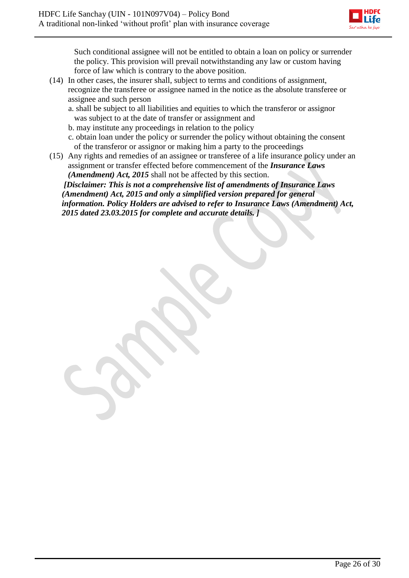

Such conditional assignee will not be entitled to obtain a loan on policy or surrender the policy. This provision will prevail notwithstanding any law or custom having force of law which is contrary to the above position.

- (14) In other cases, the insurer shall, subject to terms and conditions of assignment, recognize the transferee or assignee named in the notice as the absolute transferee or assignee and such person
	- a. shall be subject to all liabilities and equities to which the transferor or assignor was subject to at the date of transfer or assignment and
	- b. may institute any proceedings in relation to the policy
	- c. obtain loan under the policy or surrender the policy without obtaining the consent of the transferor or assignor or making him a party to the proceedings
- (15) Any rights and remedies of an assignee or transferee of a life insurance policy under an assignment or transfer effected before commencement of the *Insurance Laws (Amendment) Act, 2015* shall not be affected by this section.

*[Disclaimer: This is not a comprehensive list of amendments of Insurance Laws (Amendment) Act, 2015 and only a simplified version prepared for general information. Policy Holders are advised to refer to Insurance Laws (Amendment) Act, 2015 dated 23.03.2015 for complete and accurate details. ]*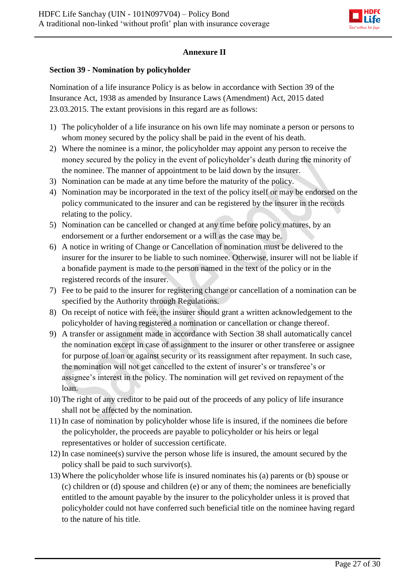

## **Annexure II**

## **Section 39 - Nomination by policyholder**

Nomination of a life insurance Policy is as below in accordance with Section 39 of the Insurance Act, 1938 as amended by Insurance Laws (Amendment) Act, 2015 dated 23.03.2015. The extant provisions in this regard are as follows:

- 1) The policyholder of a life insurance on his own life may nominate a person or persons to whom money secured by the policy shall be paid in the event of his death.
- 2) Where the nominee is a minor, the policyholder may appoint any person to receive the money secured by the policy in the event of policyholder's death during the minority of the nominee. The manner of appointment to be laid down by the insurer.
- 3) Nomination can be made at any time before the maturity of the policy.
- 4) Nomination may be incorporated in the text of the policy itself or may be endorsed on the policy communicated to the insurer and can be registered by the insurer in the records relating to the policy.
- 5) Nomination can be cancelled or changed at any time before policy matures, by an endorsement or a further endorsement or a will as the case may be.
- 6) A notice in writing of Change or Cancellation of nomination must be delivered to the insurer for the insurer to be liable to such nominee. Otherwise, insurer will not be liable if a bonafide payment is made to the person named in the text of the policy or in the registered records of the insurer.
- 7) Fee to be paid to the insurer for registering change or cancellation of a nomination can be specified by the Authority through Regulations.
- 8) On receipt of notice with fee, the insurer should grant a written acknowledgement to the policyholder of having registered a nomination or cancellation or change thereof.
- 9) A transfer or assignment made in accordance with Section 38 shall automatically cancel the nomination except in case of assignment to the insurer or other transferee or assignee for purpose of loan or against security or its reassignment after repayment. In such case, the nomination will not get cancelled to the extent of insurer's or transferee's or assignee's interest in the policy. The nomination will get revived on repayment of the loan.
- 10) The right of any creditor to be paid out of the proceeds of any policy of life insurance shall not be affected by the nomination.
- 11) In case of nomination by policyholder whose life is insured, if the nominees die before the policyholder, the proceeds are payable to policyholder or his heirs or legal representatives or holder of succession certificate.
- 12) In case nominee(s) survive the person whose life is insured, the amount secured by the policy shall be paid to such survivor(s).
- 13) Where the policyholder whose life is insured nominates his (a) parents or (b) spouse or (c) children or (d) spouse and children (e) or any of them; the nominees are beneficially entitled to the amount payable by the insurer to the policyholder unless it is proved that policyholder could not have conferred such beneficial title on the nominee having regard to the nature of his title.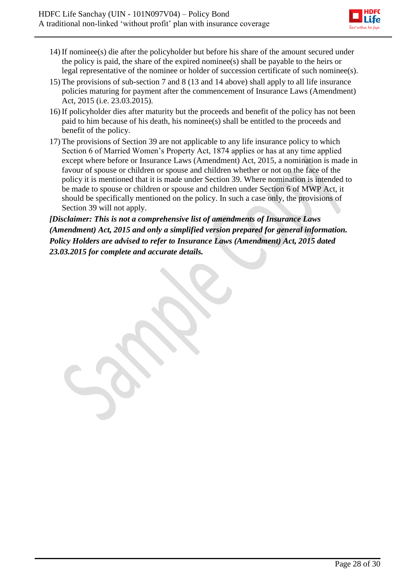

- 14) If nominee(s) die after the policyholder but before his share of the amount secured under the policy is paid, the share of the expired nominee(s) shall be payable to the heirs or legal representative of the nominee or holder of succession certificate of such nominee(s).
- 15) The provisions of sub-section 7 and 8 (13 and 14 above) shall apply to all life insurance policies maturing for payment after the commencement of Insurance Laws (Amendment) Act, 2015 (i.e. 23.03.2015).
- 16) If policyholder dies after maturity but the proceeds and benefit of the policy has not been paid to him because of his death, his nominee(s) shall be entitled to the proceeds and benefit of the policy.
- 17) The provisions of Section 39 are not applicable to any life insurance policy to which Section 6 of Married Women's Property Act, 1874 applies or has at any time applied except where before or Insurance Laws (Amendment) Act, 2015, a nomination is made in favour of spouse or children or spouse and children whether or not on the face of the policy it is mentioned that it is made under Section 39. Where nomination is intended to be made to spouse or children or spouse and children under Section 6 of MWP Act, it should be specifically mentioned on the policy. In such a case only, the provisions of Section 39 will not apply.

*[Disclaimer: This is not a comprehensive list of amendments of Insurance Laws (Amendment) Act, 2015 and only a simplified version prepared for general information. Policy Holders are advised to refer to Insurance Laws (Amendment) Act, 2015 dated 23.03.2015 for complete and accurate details.*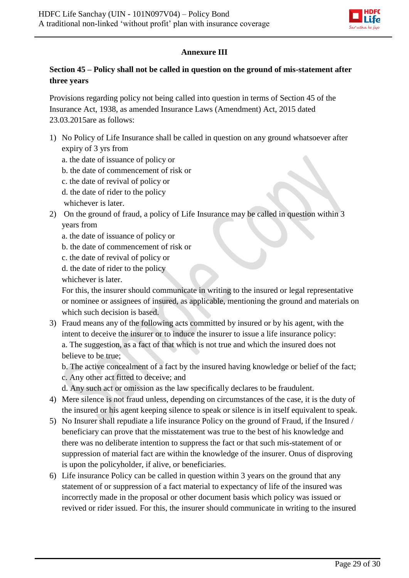

## **Annexure III**

## **Section 45 – Policy shall not be called in question on the ground of mis-statement after three years**

Provisions regarding policy not being called into question in terms of Section 45 of the Insurance Act, 1938, as amended Insurance Laws (Amendment) Act, 2015 dated 23.03.2015are as follows:

- 1) No Policy of Life Insurance shall be called in question on any ground whatsoever after expiry of 3 yrs from
	- a. the date of issuance of policy or
	- b. the date of commencement of risk or
	- c. the date of revival of policy or
	- d. the date of rider to the policy
	- whichever is later.
- 2) On the ground of fraud, a policy of Life Insurance may be called in question within 3 years from
	- a. the date of issuance of policy or
	- b. the date of commencement of risk or
	- c. the date of revival of policy or
	- d. the date of rider to the policy

whichever is later.

For this, the insurer should communicate in writing to the insured or legal representative or nominee or assignees of insured, as applicable, mentioning the ground and materials on which such decision is based.

3) Fraud means any of the following acts committed by insured or by his agent, with the intent to deceive the insurer or to induce the insurer to issue a life insurance policy: a. The suggestion, as a fact of that which is not true and which the insured does not believe to be true;

b. The active concealment of a fact by the insured having knowledge or belief of the fact;

- c. Any other act fitted to deceive; and
- d. Any such act or omission as the law specifically declares to be fraudulent.
- 4) Mere silence is not fraud unless, depending on circumstances of the case, it is the duty of the insured or his agent keeping silence to speak or silence is in itself equivalent to speak.
- 5) No Insurer shall repudiate a life insurance Policy on the ground of Fraud, if the Insured / beneficiary can prove that the misstatement was true to the best of his knowledge and there was no deliberate intention to suppress the fact or that such mis-statement of or suppression of material fact are within the knowledge of the insurer. Onus of disproving is upon the policyholder, if alive, or beneficiaries.
- 6) Life insurance Policy can be called in question within 3 years on the ground that any statement of or suppression of a fact material to expectancy of life of the insured was incorrectly made in the proposal or other document basis which policy was issued or revived or rider issued. For this, the insurer should communicate in writing to the insured